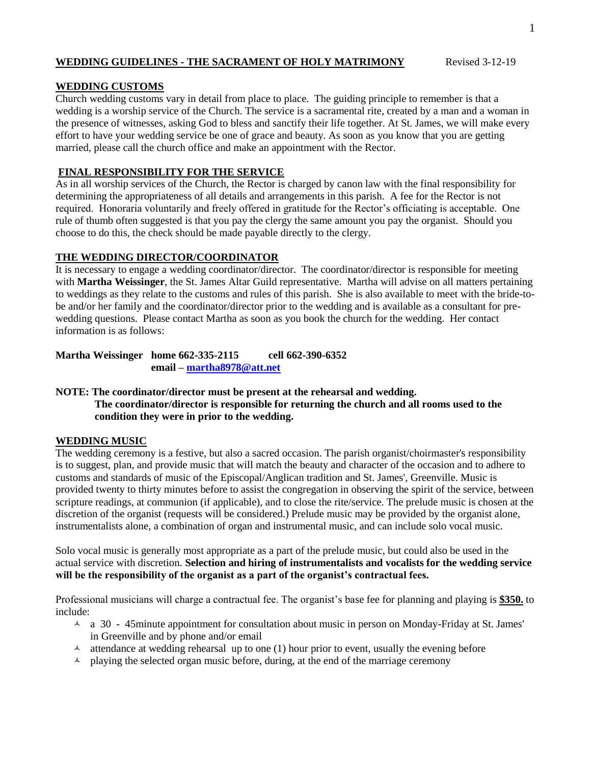# **WEDDING GUIDELINES - THE SACRAMENT OF HOLY MATRIMONY** Revised 3-12-19

# **WEDDING CUSTOMS**

Church wedding customs vary in detail from place to place. The guiding principle to remember is that a wedding is a worship service of the Church. The service is a sacramental rite, created by a man and a woman in the presence of witnesses, asking God to bless and sanctify their life together. At St. James, we will make every effort to have your wedding service be one of grace and beauty. As soon as you know that you are getting married, please call the church office and make an appointment with the Rector.

# **FINAL RESPONSIBILITY FOR THE SERVICE**

As in all worship services of the Church, the Rector is charged by canon law with the final responsibility for determining the appropriateness of all details and arrangements in this parish. A fee for the Rector is not required. Honoraria voluntarily and freely offered in gratitude for the Rector's officiating is acceptable. One rule of thumb often suggested is that you pay the clergy the same amount you pay the organist. Should you choose to do this, the check should be made payable directly to the clergy.

# **THE WEDDING DIRECTOR/COORDINATOR**

It is necessary to engage a wedding coordinator/director. The coordinator/director is responsible for meeting with **Martha Weissinger**, the St. James Altar Guild representative. Martha will advise on all matters pertaining to weddings as they relate to the customs and rules of this parish. She is also available to meet with the bride-tobe and/or her family and the coordinator/director prior to the wedding and is available as a consultant for prewedding questions. Please contact Martha as soon as you book the church for the wedding. Her contact information is as follows:

**Martha Weissinger home 662-335-2115 cell 662-390-6352 email – [martha8978@att.net](mailto:martha8978@att.net)**

# **NOTE: The coordinator/director must be present at the rehearsal and wedding.**

**The coordinator/director is responsible for returning the church and all rooms used to the condition they were in prior to the wedding.**

## **WEDDING MUSIC**

The wedding ceremony is a festive, but also a sacred occasion. The parish organist/choirmaster's responsibility is to suggest, plan, and provide music that will match the beauty and character of the occasion and to adhere to customs and standards of music of the Episcopal/Anglican tradition and St. James', Greenville. Music is provided twenty to thirty minutes before to assist the congregation in observing the spirit of the service, between scripture readings, at communion (if applicable), and to close the rite/service. The prelude music is chosen at the discretion of the organist (requests will be considered.) Prelude music may be provided by the organist alone, instrumentalists alone, a combination of organ and instrumental music, and can include solo vocal music.

Solo vocal music is generally most appropriate as a part of the prelude music, but could also be used in the actual service with discretion. **Selection and hiring of instrumentalists and vocalists for the wedding service will be the responsibility of the organist as a part of the organist's contractual fees.**

Professional musicians will charge a contractual fee. The organist's base fee for planning and playing is **\$350.** to include:

- $\uparrow$  a 30 45minute appointment for consultation about music in person on Monday-Friday at St. James' in Greenville and by phone and/or email
- $\lambda$  attendance at wedding rehearsal up to one (1) hour prior to event, usually the evening before
- $\triangle$  playing the selected organ music before, during, at the end of the marriage ceremony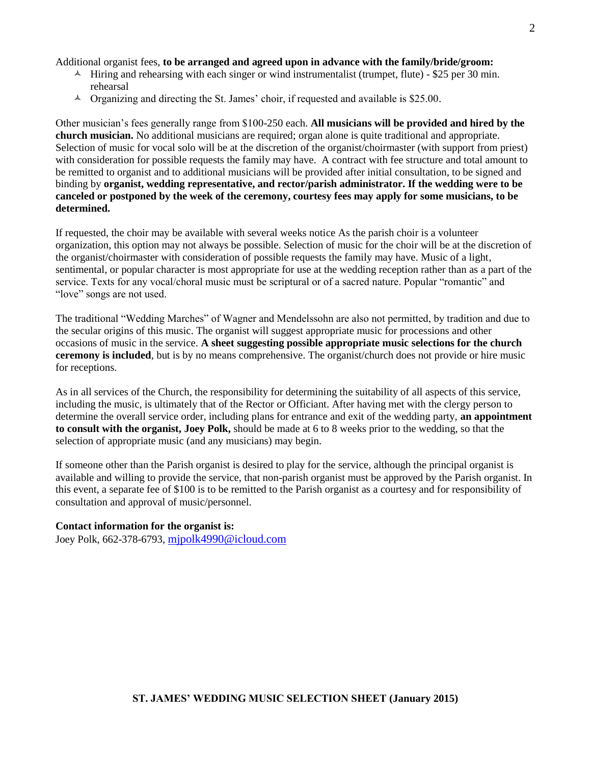Additional organist fees, **to be arranged and agreed upon in advance with the family/bride/groom:**

- $\sim$  Hiring and rehearsing with each singer or wind instrumentalist (trumpet, flute) \$25 per 30 min. rehearsal
- $\triangle$  Organizing and directing the St. James' choir, if requested and available is \$25.00.

Other musician's fees generally range from \$100-250 each. **All musicians will be provided and hired by the church musician.** No additional musicians are required; organ alone is quite traditional and appropriate. Selection of music for vocal solo will be at the discretion of the organist/choirmaster (with support from priest) with consideration for possible requests the family may have. A contract with fee structure and total amount to be remitted to organist and to additional musicians will be provided after initial consultation, to be signed and binding by **organist, wedding representative, and rector/parish administrator. If the wedding were to be canceled or postponed by the week of the ceremony, courtesy fees may apply for some musicians, to be determined.**

If requested, the choir may be available with several weeks notice As the parish choir is a volunteer organization, this option may not always be possible. Selection of music for the choir will be at the discretion of the organist/choirmaster with consideration of possible requests the family may have. Music of a light, sentimental, or popular character is most appropriate for use at the wedding reception rather than as a part of the service. Texts for any vocal/choral music must be scriptural or of a sacred nature. Popular "romantic" and "love" songs are not used.

The traditional "Wedding Marches" of Wagner and Mendelssohn are also not permitted, by tradition and due to the secular origins of this music. The organist will suggest appropriate music for processions and other occasions of music in the service. **A sheet suggesting possible appropriate music selections for the church ceremony is included**, but is by no means comprehensive. The organist/church does not provide or hire music for receptions.

As in all services of the Church, the responsibility for determining the suitability of all aspects of this service, including the music, is ultimately that of the Rector or Officiant. After having met with the clergy person to determine the overall service order, including plans for entrance and exit of the wedding party, **an appointment to consult with the organist, Joey Polk,** should be made at 6 to 8 weeks prior to the wedding, so that the selection of appropriate music (and any musicians) may begin.

If someone other than the Parish organist is desired to play for the service, although the principal organist is available and willing to provide the service, that non-parish organist must be approved by the Parish organist. In this event, a separate fee of \$100 is to be remitted to the Parish organist as a courtesy and for responsibility of consultation and approval of music/personnel.

## **Contact information for the organist is:**

Joey Polk, 662-378-6793, [mjpolk4990@icloud.com](mailto:mjpolk4990@icloud.com)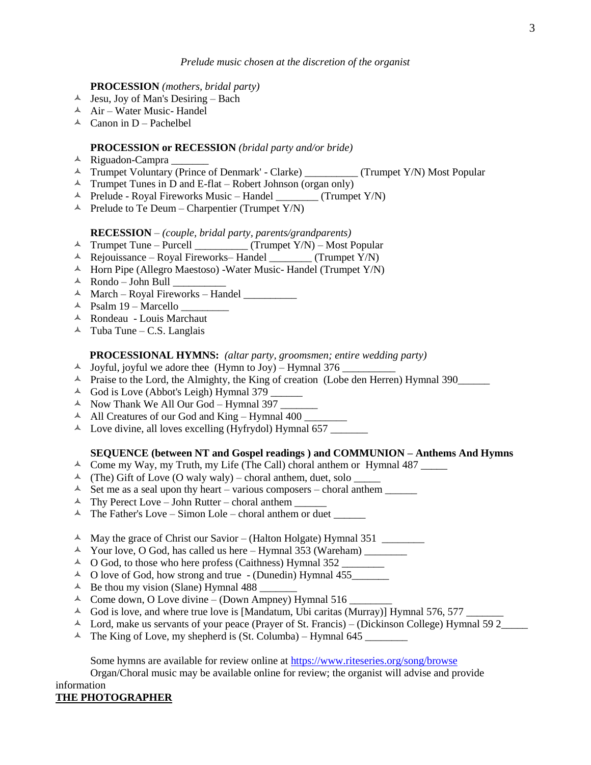#### *Prelude music chosen at the discretion of the organist*

### **PROCESSION** *(mothers, bridal party)*

- $\triangle$  Jesu, Joy of Man's Desiring Bach
- $\overrightarrow{A}$  Air Water Music- Handel
- $\triangle$  Canon in D Pachelbel

### **PROCESSION or RECESSION** *(bridal party and/or bride)*

- Riguadon-Campra \_\_\_\_\_\_\_
- Trumpet Voluntary (Prince of Denmark' Clarke) \_\_\_\_\_\_\_\_\_\_ (Trumpet Y/N) Most Popular
- $\triangle$  Trumpet Tunes in D and E-flat Robert Johnson (organ only)
- $\triangle$  Prelude Royal Fireworks Music Handel \_\_\_\_\_\_\_\_ (Trumpet Y/N)
- $\triangle$  Prelude to Te Deum Charpentier (Trumpet Y/N)

## **RECESSION** – *(couple, bridal party, parents/grandparents)*

- $\triangle$  Trumpet Tune Purcell \_\_\_\_\_\_\_\_\_ (Trumpet Y/N) Most Popular
- $\overrightarrow{A}$  Rejouissance Royal Fireworks– Handel (Trumpet Y/N)
- $\overline{\phantom{a}}$  Horn Pipe (Allegro Maestoso) -Water Music- Handel (Trumpet Y/N)
- $\overline{\phantom{a}}$  Rondo John Bull
- $\triangle$  March Royal Fireworks Handel
- Psalm 19 Marcello \_\_\_\_\_\_\_\_\_
- Rondeau Louis Marchaut
- $\triangle$  Tuba Tune C.S. Langlais

### **PROCESSIONAL HYMNS:** *(altar party, groomsmen; entire wedding party)*

- $\triangle$  Joyful, joyful we adore thee (Hymn to Joy) Hymnal 376  $\angle$
- A Praise to the Lord, the Almighty, the King of creation (Lobe den Herren) Hymnal 390
- $\triangle$  God is Love (Abbot's Leigh) Hymnal 379
- $\triangle$  Now Thank We All Our God Hymnal 397
- $\text{All Creatures of our God and King Hymnal } 400$
- $\triangle$  Love divine, all loves excelling (Hyfrydol) Hymnal 657

## **SEQUENCE (between NT and Gospel readings ) and COMMUNION – Anthems And Hymns**

- Come my Way, my Truth, my Life (The Call) choral anthem or Hymnal 487 \_\_\_\_\_
- $\uparrow$  (The) Gift of Love (O waly waly) choral anthem, duet, solo \_\_\_\_\_\_
- Set me as a seal upon thy heart various composers choral anthem \_\_\_\_\_\_
- $\uparrow$  Thy Perect Love John Rutter choral anthem
- $\triangle$  The Father's Love Simon Lole choral anthem or duet \_\_\_\_\_\_\_\_
- $\uparrow$  May the grace of Christ our Savior (Halton Holgate) Hymnal 351
- Your love, O God, has called us here Hymnal 353 (Wareham) \_\_\_\_\_\_\_\_
- O God, to those who here profess (Caithness) Hymnal 352 \_\_\_\_\_\_\_\_
- $\triangle$  O love of God, how strong and true (Dunedin) Hymnal 455
- $\triangle$  Be thou my vision (Slane) Hymnal 488
- $\triangle$  Come down, O Love divine (Down Ampney) Hymnal 516
- $\triangle$  God is love, and where true love is [Mandatum, Ubi caritas (Murray)] Hymnal 576, 577
- $\uparrow$  Lord, make us servants of your peace (Prayer of St. Francis) (Dickinson College) Hymnal 59 2
- $\uparrow$  The King of Love, my shepherd is (St. Columba) Hymnal 645

Some hymns are available for review online at [https://www.riteseries.org/song/browse](http://www.riteseries.org/song/browse)

Organ/Choral music may be available online for review; the organist will advise and provide information

**THE PHOTOGRAPHER**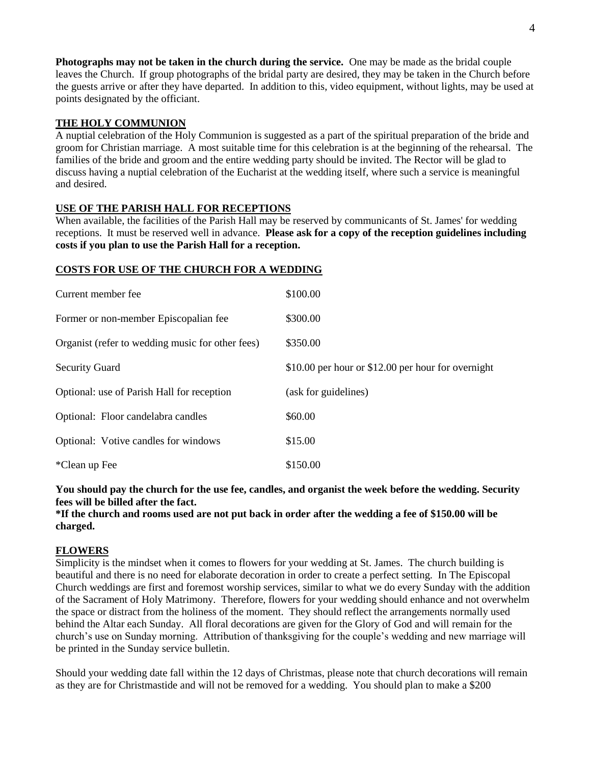**Photographs may not be taken in the church during the service.** One may be made as the bridal couple leaves the Church. If group photographs of the bridal party are desired, they may be taken in the Church before the guests arrive or after they have departed. In addition to this, video equipment, without lights, may be used at points designated by the officiant.

# **THE HOLY COMMUNION**

A nuptial celebration of the Holy Communion is suggested as a part of the spiritual preparation of the bride and groom for Christian marriage. A most suitable time for this celebration is at the beginning of the rehearsal. The families of the bride and groom and the entire wedding party should be invited. The Rector will be glad to discuss having a nuptial celebration of the Eucharist at the wedding itself, where such a service is meaningful and desired.

# **USE OF THE PARISH HALL FOR RECEPTIONS**

When available, the facilities of the Parish Hall may be reserved by communicants of St. James' for wedding receptions. It must be reserved well in advance. **Please ask for a copy of the reception guidelines including costs if you plan to use the Parish Hall for a reception.**

## **COSTS FOR USE OF THE CHURCH FOR A WEDDING**

| Current member fee                               | \$100.00                                           |
|--------------------------------------------------|----------------------------------------------------|
| Former or non-member Episcopalian fee            | \$300.00                                           |
| Organist (refer to wedding music for other fees) | \$350.00                                           |
| <b>Security Guard</b>                            | \$10.00 per hour or \$12.00 per hour for overnight |
| Optional: use of Parish Hall for reception       | (ask for guidelines)                               |
| Optional: Floor candelabra candles               | \$60.00                                            |
| Optional: Votive candles for windows             | \$15.00                                            |
| *Clean up Fee                                    | \$150.00                                           |

**You should pay the church for the use fee, candles, and organist the week before the wedding. Security fees will be billed after the fact.**

## **\*If the church and rooms used are not put back in order after the wedding a fee of \$150.00 will be charged.**

## **FLOWERS**

Simplicity is the mindset when it comes to flowers for your wedding at St. James. The church building is beautiful and there is no need for elaborate decoration in order to create a perfect setting. In The Episcopal Church weddings are first and foremost worship services, similar to what we do every Sunday with the addition of the Sacrament of Holy Matrimony. Therefore, flowers for your wedding should enhance and not overwhelm the space or distract from the holiness of the moment. They should reflect the arrangements normally used behind the Altar each Sunday. All floral decorations are given for the Glory of God and will remain for the church's use on Sunday morning. Attribution of thanksgiving for the couple's wedding and new marriage will be printed in the Sunday service bulletin.

Should your wedding date fall within the 12 days of Christmas, please note that church decorations will remain as they are for Christmastide and will not be removed for a wedding. You should plan to make a \$200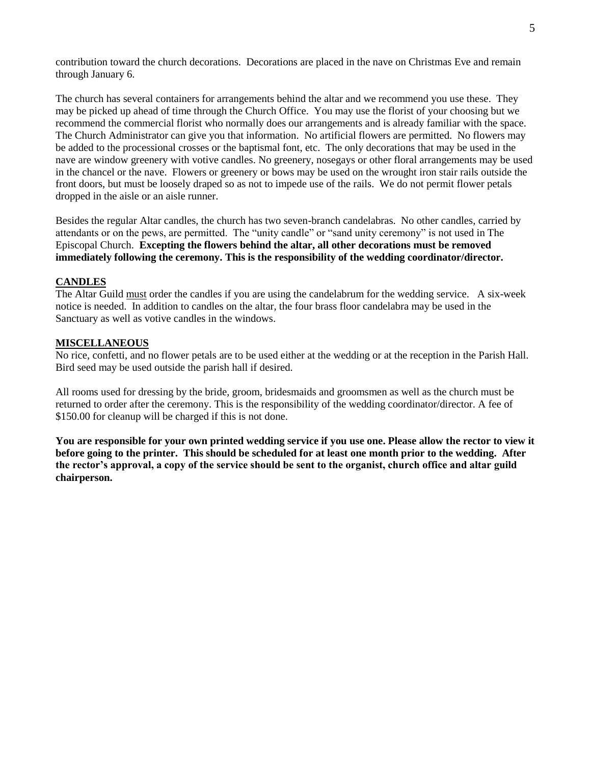contribution toward the church decorations. Decorations are placed in the nave on Christmas Eve and remain through January 6.

The church has several containers for arrangements behind the altar and we recommend you use these. They may be picked up ahead of time through the Church Office. You may use the florist of your choosing but we recommend the commercial florist who normally does our arrangements and is already familiar with the space. The Church Administrator can give you that information. No artificial flowers are permitted. No flowers may be added to the processional crosses or the baptismal font, etc. The only decorations that may be used in the nave are window greenery with votive candles. No greenery, nosegays or other floral arrangements may be used in the chancel or the nave. Flowers or greenery or bows may be used on the wrought iron stair rails outside the front doors, but must be loosely draped so as not to impede use of the rails. We do not permit flower petals dropped in the aisle or an aisle runner.

Besides the regular Altar candles, the church has two seven-branch candelabras. No other candles, carried by attendants or on the pews, are permitted. The "unity candle" or "sand unity ceremony" is not used in The Episcopal Church. **Excepting the flowers behind the altar, all other decorations must be removed immediately following the ceremony. This is the responsibility of the wedding coordinator/director.**

# **CANDLES**

The Altar Guild must order the candles if you are using the candelabrum for the wedding service. A six-week notice is needed. In addition to candles on the altar, the four brass floor candelabra may be used in the Sanctuary as well as votive candles in the windows.

## **MISCELLANEOUS**

No rice, confetti, and no flower petals are to be used either at the wedding or at the reception in the Parish Hall. Bird seed may be used outside the parish hall if desired.

All rooms used for dressing by the bride, groom, bridesmaids and groomsmen as well as the church must be returned to order after the ceremony. This is the responsibility of the wedding coordinator/director. A fee of \$150.00 for cleanup will be charged if this is not done.

**You are responsible for your own printed wedding service if you use one. Please allow the rector to view it before going to the printer. This should be scheduled for at least one month prior to the wedding. After the rector's approval, a copy of the service should be sent to the organist, church office and altar guild chairperson.**